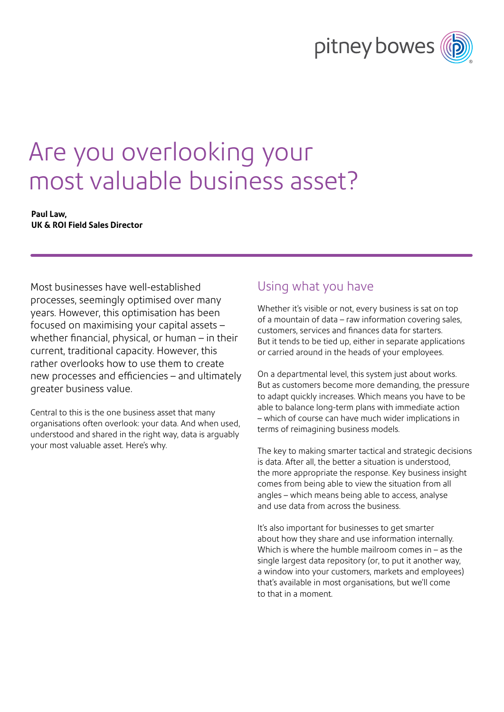# pitney bowes

## Are you overlooking your most valuable business asset?

#### **Paul Law, UK & ROI Field Sales Director**

Most businesses have well-established processes, seemingly optimised over many years. However, this optimisation has been focused on maximising your capital assets – whether financial, physical, or human – in their current, traditional capacity. However, this rather overlooks how to use them to create new processes and efficiencies – and ultimately greater business value.

Central to this is the one business asset that many organisations often overlook: your data. And when used, understood and shared in the right way, data is arguably your most valuable asset. Here's why.

### Using what you have

Whether it's visible or not, every business is sat on top of a mountain of data – raw information covering sales, customers, services and finances data for starters. But it tends to be tied up, either in separate applications or carried around in the heads of your employees.

On a departmental level, this system just about works. But as customers become more demanding, the pressure to adapt quickly increases. Which means you have to be able to balance long-term plans with immediate action – which of course can have much wider implications in terms of reimagining business models.

The key to making smarter tactical and strategic decisions is data. After all, the better a situation is understood, the more appropriate the response. Key business insight comes from being able to view the situation from all angles – which means being able to access, analyse and use data from across the business.

It's also important for businesses to get smarter about how they share and use information internally. Which is where the humble mailroom comes in – as the single largest data repository (or, to put it another way, a window into your customers, markets and employees) that's available in most organisations, but we'll come to that in a moment.